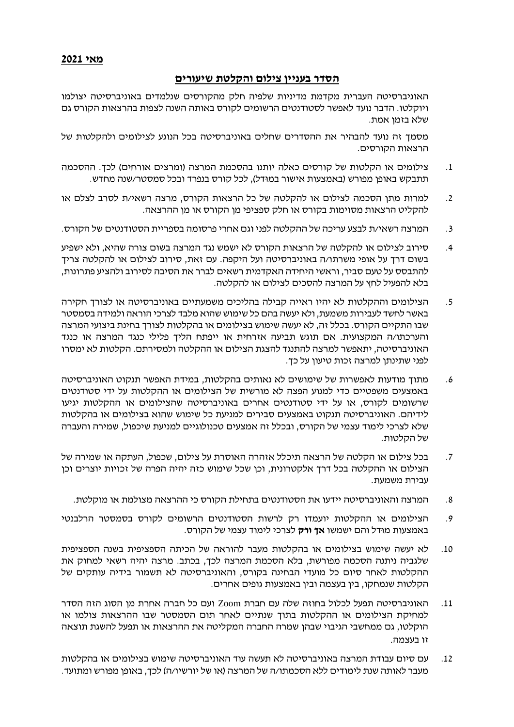## **הסדר בעניין צילום והקלטת שיעורים**

האוניברסיטה העברית מקדמת מדיניות שלפיה חלק מהקורסים שנלמדים באוניברסיטה יצולמו ויוקלטו. הדבר נועד לאפשר לסטודנטים הרשומים לקורס באותה השנה לצפות בהרצאות הקורס גם שלא בזמן אמת.

מסמך זה נועד להבהיר את ההסדרים שחלים באוניברסיטה בכל הנוגע לצילומים ולהקלטות של הרצאות הקורסים.

- .1 צילומים או הקלטות של קורסים כאלה יותנו בהסכמת המרצה )ומרצים אורחים( לכך. ההסכמה תתבקש באופן מפורש )באמצעות אישור במּודל(, לכל קורס בנפרד ובכל סמסטר/שנה מחדש.
- .2 למרות מתן הסכמה לצילום או להקלטה של כל הרצאות הקורס, מרצה רשאי/ת לסרב לצלם או להקליט הרצאות מסוימות בקורס או חלק ספציפי מן הקורס או מן ההרצאה.
- .3 המרצה רשאי/ת לבצע עריכה של ההקלטה לפני וגם אחרי פרסומה בספריית הסטודנטים של הקורס.
- .4 סירוב לצילום או להקלטה של הרצאות הקורס לא ישמש נגד המרצה בשום צורה שהיא, ולא ישפיע בשום דרך על אופי משרתו/ה באוניברסיטה ועל היקפה. עם זאת, סירוב לצילום או להקלטה צריך להתבסס על טעם סביר, וראשי היחידה האקדמית רשאים לברר את הסיבה לסירוב ולהציע פתרונות, בלא להפעיל לחץ על המרצה להסכים לצילום או להקלטה.
- .5 הצילומים וההקלטות לא יהיו ראייה קבילה בהליכים משמעתיים באוניברסיטה או לצורך חקירה באשר לחשד לעבירות משמעת, ולא יעשה בהם כל שימוש שהוא מלבד לצרכי הוראה ולמידה בסמסטר שבו התקיים הקורס. בכלל זה, לא יעשה שימוש בצילומים או בהקלטות לצורך בחינת ביצועי המרצה והערכתו/ה המקצועית. אם תוגש תביעה אזרחית או ייפתח הליך פלילי כנגד המרצה או כנגד האוניברסיטה, יתאפשר למרצה להתנגד להצגת הצילום או ההקלטה ולמסירתם. הקלטות לא ימסרו לפני שתינתן למרצה זכות טיעון על כך.
- .6 מתוך מודעות לאפשרות של שימושים לא נאותים בהקלטות, במידת האפשר תנקוט האוניברסיטה באמצעים משפטיים כדי למנוע הפצה לא מורשית של הצילומים או ההקלטות על ידי סטודנטים שרשומים לקורס, או על ידי סטודנטים אחרים באוניברסיטה שהצילומים או ההקלטות יגיעו לידיהם. האוניברסיטה תנקוט באמצעים סבירים למניעת כל שימוש שהוא בצילומים או בהקלטות שלא לצרכי לימוד עצמי של הקורס, ובכלל זה אמצעים טכנולוגיים למניעת שיכפול, שמירה והעברה של הקלטות.
- .7 בכל צילום או הקלטה של הרצאה תיכלל אזהרה האוסרת על צילום, שכפול, העתקה או שמירה של הצילום או ההקלטה בכל דרך אלקטרונית, וכן שכל שימוש כזה יהיה הפרה של זכויות יוצרים וכן עבירת משמעת.
	- .8 המרצה והאוניברסיטה יידעו את הסטודנטים בתחילת הקורס כי ההרצאה מצולמת או מוקלטת.
- .9 הצילומים או ההקלטות יועמדו רק לרשות הסטודנטים הרשומים לקורס בסמסטר הרלבנטי באמצעות מּודל והם ישמשו **אך ורק** לצרכי לימוד עצמי של הקורס.
- .10 לא יעשה שימוש בצילומים או בהקלטות מעבר להוראה של הכיתה הספציפית בשנה הספציפית שלגביה ניתנה הסכמה מפורשת, בלא הסכמת המרצה לכך, בכתב. מרצה יהיה רשאי למחוק את ההקלטות לאחר סיום כל מועדי הבחינה בקורס, והאוניברסיטה לא תשמור בידיה עותקים של הקלטות שנמחקו, בין בעצמה ובין באמצעות גופים אחרים.
- .11 האוניברסיטה תפעל לכלול בחוזה שלה עם חברת Zoom ועם כל חברה אחרת מן הסוג הזה הסדר למחיקת הצילומים או ההקלטות בתוך שנתיים לאחר תום הסמסטר שבו ההרצאות צולמו או הוקלטו, גם ממחשבי הגיבוי שבהן שמרה החברה המקליטה את ההרצאות או תפעל להשגת תוצאה זו בעצמה.
- .12 עם סיום עבודת המרצה באוניברסיטה לא תעשה עוד האוניברסיטה שימוש בצילומים או בהקלטות מעבר לאותה שנת לימודים ללא הסכמתו/ה של המרצה )או של יורשיו/ה( לכך, באופן מפורש ומתועד.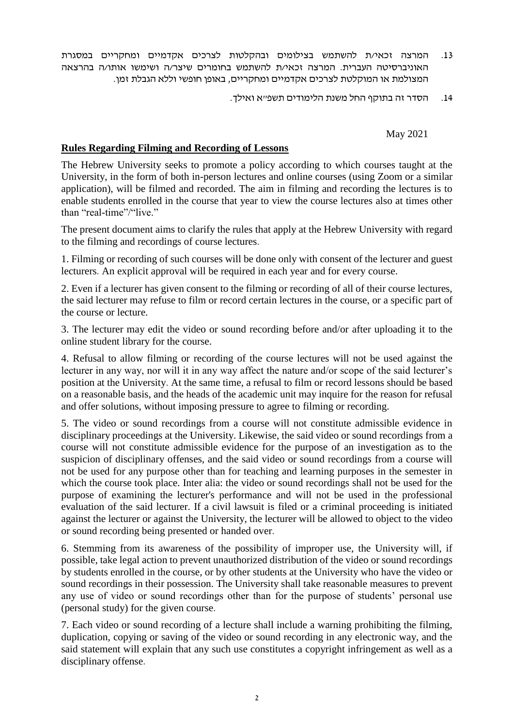- .13 המרצה זכאי/ת להשתמש בצילומים ובהקלטות לצרכים אקדמיים ומחקריים במסגרת האוניברסיטה העברית. המרצה זכאי/ת להשתמש בחומרים שיצר/ה ושימשו אותו/ה בהרצאה המצולמת או המוקלטת לצרכים אקדמיים ומחקריים, באופן חופשי וללא הגבלת זמן.
	- .14 הסדר זה בתוקף החל משנת הלימודים תשפ"א ואילך.

May 2021

## **Rules Regarding Filming and Recording of Lessons**

The Hebrew University seeks to promote a policy according to which courses taught at the University, in the form of both in-person lectures and online courses (using Zoom or a similar application), will be filmed and recorded. The aim in filming and recording the lectures is to enable students enrolled in the course that year to view the course lectures also at times other than "real-time"/"live."

The present document aims to clarify the rules that apply at the Hebrew University with regard to the filming and recordings of course lectures.

1. Filming or recording of such courses will be done only with consent of the lecturer and guest lecturers. An explicit approval will be required in each year and for every course.

2. Even if a lecturer has given consent to the filming or recording of all of their course lectures, the said lecturer may refuse to film or record certain lectures in the course, or a specific part of the course or lecture.

3. The lecturer may edit the video or sound recording before and/or after uploading it to the online student library for the course.

4. Refusal to allow filming or recording of the course lectures will not be used against the lecturer in any way, nor will it in any way affect the nature and/or scope of the said lecturer's position at the University. At the same time, a refusal to film or record lessons should be based on a reasonable basis, and the heads of the academic unit may inquire for the reason for refusal and offer solutions, without imposing pressure to agree to filming or recording.

5. The video or sound recordings from a course will not constitute admissible evidence in disciplinary proceedings at the University. Likewise, the said video or sound recordings from a course will not constitute admissible evidence for the purpose of an investigation as to the suspicion of disciplinary offenses, and the said video or sound recordings from a course will not be used for any purpose other than for teaching and learning purposes in the semester in which the course took place. Inter alia: the video or sound recordings shall not be used for the purpose of examining the lecturer's performance and will not be used in the professional evaluation of the said lecturer. If a civil lawsuit is filed or a criminal proceeding is initiated against the lecturer or against the University, the lecturer will be allowed to object to the video or sound recording being presented or handed over.

6. Stemming from its awareness of the possibility of improper use, the University will, if possible, take legal action to prevent unauthorized distribution of the video or sound recordings by students enrolled in the course, or by other students at the University who have the video or sound recordings in their possession. The University shall take reasonable measures to prevent any use of video or sound recordings other than for the purpose of students' personal use (personal study) for the given course.

7. Each video or sound recording of a lecture shall include a warning prohibiting the filming, duplication, copying or saving of the video or sound recording in any electronic way, and the said statement will explain that any such use constitutes a copyright infringement as well as a disciplinary offense.